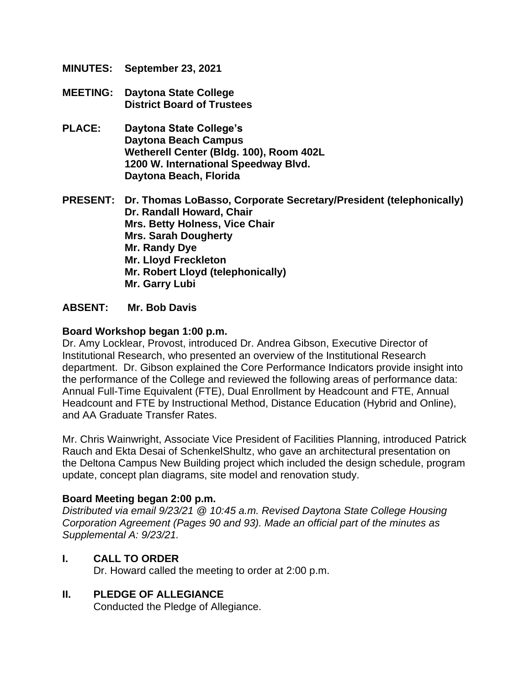- **MINUTES: September 23, 2021**
- **MEETING: Daytona State College District Board of Trustees**
- **PLACE: Daytona State College's Daytona Beach Campus Wetherell Center (Bldg. 100), Room 402L 1200 W. International Speedway Blvd. Daytona Beach, Florida**

**PRESENT: Dr. Thomas LoBasso, Corporate Secretary/President (telephonically) Dr. Randall Howard, Chair Mrs. Betty Holness, Vice Chair Mrs. Sarah Dougherty Mr. Randy Dye Mr. Lloyd Freckleton Mr. Robert Lloyd (telephonically) Mr. Garry Lubi**

#### **ABSENT: Mr. Bob Davis**

#### **Board Workshop began 1:00 p.m.**

Dr. Amy Locklear, Provost, introduced Dr. Andrea Gibson, Executive Director of Institutional Research, who presented an overview of the Institutional Research department. Dr. Gibson explained the Core Performance Indicators provide insight into the performance of the College and reviewed the following areas of performance data: Annual Full-Time Equivalent (FTE), Dual Enrollment by Headcount and FTE, Annual Headcount and FTE by Instructional Method, Distance Education (Hybrid and Online), and AA Graduate Transfer Rates.

Mr. Chris Wainwright, Associate Vice President of Facilities Planning, introduced Patrick Rauch and Ekta Desai of SchenkelShultz, who gave an architectural presentation on the Deltona Campus New Building project which included the design schedule, program update, concept plan diagrams, site model and renovation study.

#### **Board Meeting began 2:00 p.m.**

*Distributed via email 9/23/21 @ 10:45 a.m. Revised Daytona State College Housing Corporation Agreement (Pages 90 and 93). Made an official part of the minutes as Supplemental A: 9/23/21.* 

#### **I. CALL TO ORDER**

Dr. Howard called the meeting to order at 2:00 p.m.

#### **II. PLEDGE OF ALLEGIANCE**

Conducted the Pledge of Allegiance.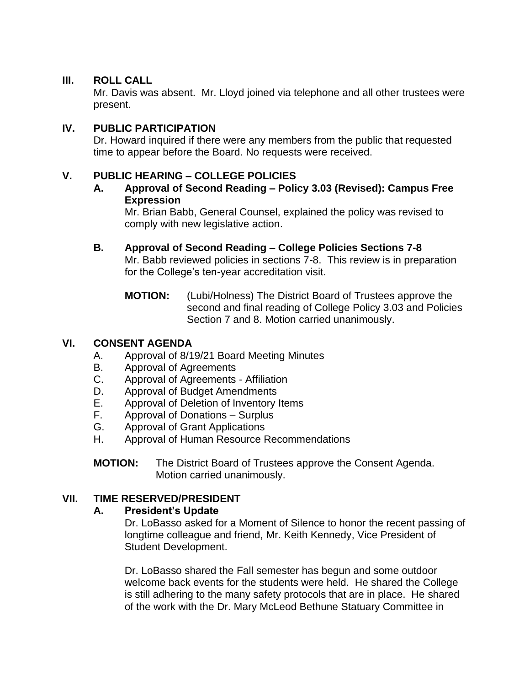### **III. ROLL CALL**

Mr. Davis was absent. Mr. Lloyd joined via telephone and all other trustees were present.

### **IV. PUBLIC PARTICIPATION**

Dr. Howard inquired if there were any members from the public that requested time to appear before the Board. No requests were received.

### **V. PUBLIC HEARING – COLLEGE POLICIES**

**A. Approval of Second Reading – Policy 3.03 (Revised): Campus Free Expression**

Mr. Brian Babb, General Counsel, explained the policy was revised to comply with new legislative action.

- **B. Approval of Second Reading – College Policies Sections 7-8** Mr. Babb reviewed policies in sections 7-8. This review is in preparation for the College's ten-year accreditation visit.
	- **MOTION:** (Lubi/Holness) The District Board of Trustees approve the second and final reading of College Policy 3.03 and Policies Section 7 and 8. Motion carried unanimously.

#### **VI. CONSENT AGENDA**

- A. Approval of 8/19/21 Board Meeting Minutes
- B. Approval of Agreements
- C. Approval of Agreements Affiliation
- D. Approval of Budget Amendments
- E. Approval of Deletion of Inventory Items
- F. Approval of Donations Surplus
- G. Approval of Grant Applications
- H. Approval of Human Resource Recommendations
- **MOTION:** The District Board of Trustees approve the Consent Agenda. Motion carried unanimously.

## **VII. TIME RESERVED/PRESIDENT**

## **A. President's Update**

Dr. LoBasso asked for a Moment of Silence to honor the recent passing of longtime colleague and friend, Mr. Keith Kennedy, Vice President of Student Development.

Dr. LoBasso shared the Fall semester has begun and some outdoor welcome back events for the students were held. He shared the College is still adhering to the many safety protocols that are in place. He shared of the work with the Dr. Mary McLeod Bethune Statuary Committee in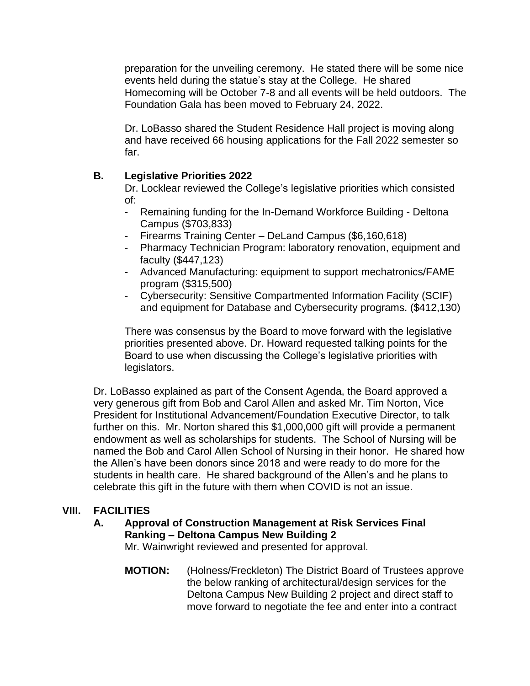preparation for the unveiling ceremony. He stated there will be some nice events held during the statue's stay at the College. He shared Homecoming will be October 7-8 and all events will be held outdoors. The Foundation Gala has been moved to February 24, 2022.

Dr. LoBasso shared the Student Residence Hall project is moving along and have received 66 housing applications for the Fall 2022 semester so far.

## **B. Legislative Priorities 2022**

Dr. Locklear reviewed the College's legislative priorities which consisted of:

- Remaining funding for the In-Demand Workforce Building Deltona Campus (\$703,833)
- Firearms Training Center DeLand Campus (\$6,160,618)
- Pharmacy Technician Program: laboratory renovation, equipment and faculty (\$447,123)
- Advanced Manufacturing: equipment to support mechatronics/FAME program (\$315,500)
- Cybersecurity: Sensitive Compartmented Information Facility (SCIF) and equipment for Database and Cybersecurity programs. (\$412,130)

There was consensus by the Board to move forward with the legislative priorities presented above. Dr. Howard requested talking points for the Board to use when discussing the College's legislative priorities with legislators.

Dr. LoBasso explained as part of the Consent Agenda, the Board approved a very generous gift from Bob and Carol Allen and asked Mr. Tim Norton, Vice President for Institutional Advancement/Foundation Executive Director, to talk further on this. Mr. Norton shared this \$1,000,000 gift will provide a permanent endowment as well as scholarships for students. The School of Nursing will be named the Bob and Carol Allen School of Nursing in their honor. He shared how the Allen's have been donors since 2018 and were ready to do more for the students in health care. He shared background of the Allen's and he plans to celebrate this gift in the future with them when COVID is not an issue.

## **VIII. FACILITIES**

## **A. Approval of Construction Management at Risk Services Final Ranking – Deltona Campus New Building 2**

Mr. Wainwright reviewed and presented for approval.

**MOTION:** (Holness/Freckleton) The District Board of Trustees approve the below ranking of architectural/design services for the Deltona Campus New Building 2 project and direct staff to move forward to negotiate the fee and enter into a contract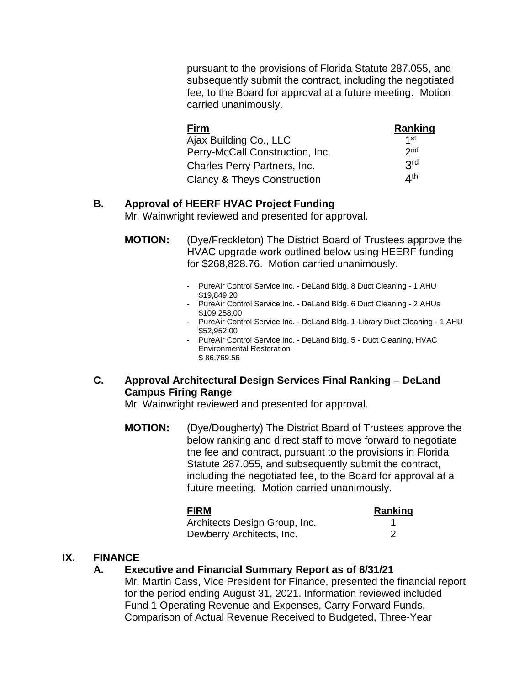pursuant to the provisions of Florida Statute 287.055, and subsequently submit the contract, including the negotiated fee, to the Board for approval at a future meeting. Motion carried unanimously.

| <b>Firm</b>                            | Ranking         |
|----------------------------------------|-----------------|
| Ajax Building Co., LLC                 | 1st             |
| Perry-McCall Construction, Inc.        | 2 <sub>nd</sub> |
| Charles Perry Partners, Inc.           | 3rd             |
| <b>Clancy &amp; Theys Construction</b> | ⊿th             |

## **B. Approval of HEERF HVAC Project Funding**

Mr. Wainwright reviewed and presented for approval.

- **MOTION:** (Dye/Freckleton) The District Board of Trustees approve the HVAC upgrade work outlined below using HEERF funding for \$268,828.76. Motion carried unanimously.
	- PureAir Control Service Inc. DeLand Bldg. 8 Duct Cleaning 1 AHU \$19,849.20
	- PureAir Control Service Inc. DeLand Bldg. 6 Duct Cleaning 2 AHUs \$109,258.00
	- PureAir Control Service Inc. DeLand Bldg. 1-Library Duct Cleaning 1 AHU \$52,952.00
	- PureAir Control Service Inc. DeLand Bldg. 5 Duct Cleaning, HVAC Environmental Restoration \$ 86,769.56

### **C. Approval Architectural Design Services Final Ranking – DeLand Campus Firing Range**

Mr. Wainwright reviewed and presented for approval.

**MOTION:** (Dye/Dougherty) The District Board of Trustees approve the below ranking and direct staff to move forward to negotiate the fee and contract, pursuant to the provisions in Florida Statute 287.055, and subsequently submit the contract, including the negotiated fee, to the Board for approval at a future meeting. Motion carried unanimously.

| <b>FIRM</b>                   | Ranking |
|-------------------------------|---------|
| Architects Design Group, Inc. |         |
| Dewberry Architects, Inc.     |         |

## **IX. FINANCE**

## **A. Executive and Financial Summary Report as of 8/31/21**

Mr. Martin Cass, Vice President for Finance, presented the financial report for the period ending August 31, 2021. Information reviewed included Fund 1 Operating Revenue and Expenses, Carry Forward Funds, Comparison of Actual Revenue Received to Budgeted, Three-Year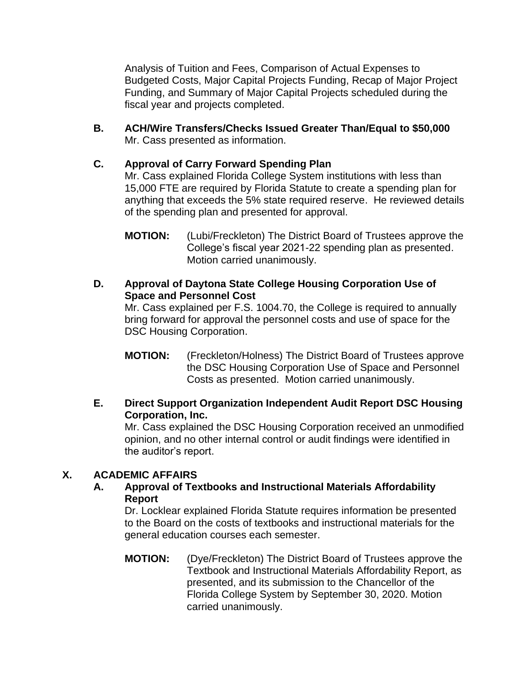Analysis of Tuition and Fees, Comparison of Actual Expenses to Budgeted Costs, Major Capital Projects Funding, Recap of Major Project Funding, and Summary of Major Capital Projects scheduled during the fiscal year and projects completed.

**B. ACH/Wire Transfers/Checks Issued Greater Than/Equal to \$50,000**  Mr. Cass presented as information.

## **C. Approval of Carry Forward Spending Plan**

Mr. Cass explained Florida College System institutions with less than 15,000 FTE are required by Florida Statute to create a spending plan for anything that exceeds the 5% state required reserve. He reviewed details of the spending plan and presented for approval.

**D. Approval of Daytona State College Housing Corporation Use of Space and Personnel Cost**

Mr. Cass explained per F.S. 1004.70, the College is required to annually bring forward for approval the personnel costs and use of space for the DSC Housing Corporation.

**MOTION:** (Freckleton/Holness) The District Board of Trustees approve the DSC Housing Corporation Use of Space and Personnel Costs as presented. Motion carried unanimously.

## **E. Direct Support Organization Independent Audit Report DSC Housing Corporation, Inc.**

Mr. Cass explained the DSC Housing Corporation received an unmodified opinion, and no other internal control or audit findings were identified in the auditor's report.

## **X. ACADEMIC AFFAIRS**

### **A. Approval of Textbooks and Instructional Materials Affordability Report**

Dr. Locklear explained Florida Statute requires information be presented to the Board on the costs of textbooks and instructional materials for the general education courses each semester.

**MOTION:** (Dye/Freckleton) The District Board of Trustees approve the Textbook and Instructional Materials Affordability Report, as presented, and its submission to the Chancellor of the Florida College System by September 30, 2020. Motion carried unanimously.

**MOTION:** (Lubi/Freckleton) The District Board of Trustees approve the College's fiscal year 2021-22 spending plan as presented. Motion carried unanimously.